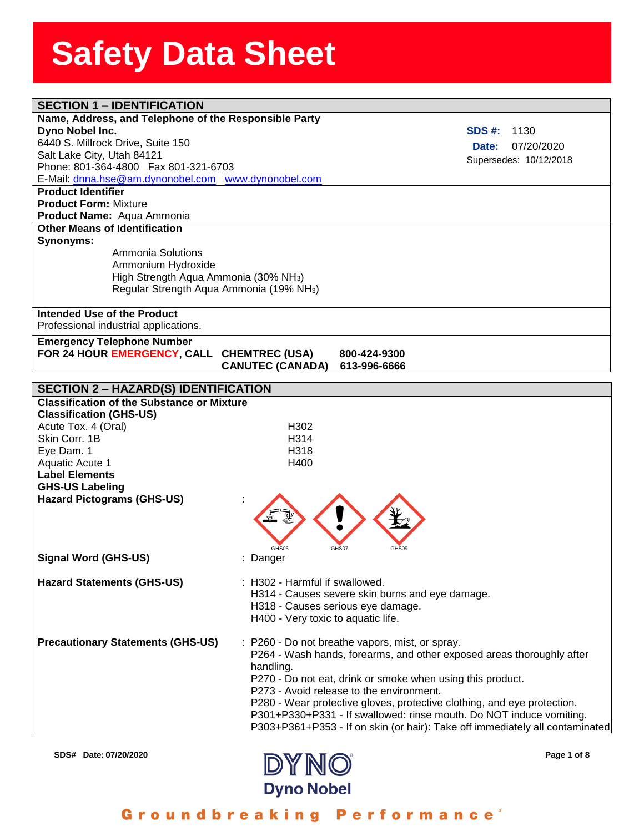| <b>SECTION 1 - IDENTIFICATION</b>                          |                                    |                                                                              |
|------------------------------------------------------------|------------------------------------|------------------------------------------------------------------------------|
| Name, Address, and Telephone of the Responsible Party      |                                    |                                                                              |
| Dyno Nobel Inc.                                            |                                    | <b>SDS #:</b><br>1130                                                        |
| 6440 S. Millrock Drive, Suite 150                          |                                    | 07/20/2020<br>Date:                                                          |
| Salt Lake City, Utah 84121                                 |                                    | Supersedes: 10/12/2018                                                       |
| Phone: 801-364-4800  Fax 801-321-6703                      |                                    |                                                                              |
| E-Mail: dnna.hse@am.dynonobel.com www.dynonobel.com        |                                    |                                                                              |
| <b>Product Identifier</b>                                  |                                    |                                                                              |
| <b>Product Form: Mixture</b><br>Product Name: Aqua Ammonia |                                    |                                                                              |
| <b>Other Means of Identification</b>                       |                                    |                                                                              |
| Synonyms:                                                  |                                    |                                                                              |
| Ammonia Solutions                                          |                                    |                                                                              |
| Ammonium Hydroxide                                         |                                    |                                                                              |
| High Strength Aqua Ammonia (30% NH <sub>3</sub> )          |                                    |                                                                              |
| Regular Strength Aqua Ammonia (19% NH <sub>3</sub> )       |                                    |                                                                              |
|                                                            |                                    |                                                                              |
| Intended Use of the Product                                |                                    |                                                                              |
| Professional industrial applications.                      |                                    |                                                                              |
| <b>Emergency Telephone Number</b>                          |                                    |                                                                              |
| FOR 24 HOUR EMERGENCY, CALL CHEMTREC (USA)                 |                                    | 800-424-9300                                                                 |
|                                                            | <b>CANUTEC (CANADA)</b>            | 613-996-6666                                                                 |
| <b>SECTION 2 - HAZARD(S) IDENTIFICATION</b>                |                                    |                                                                              |
| <b>Classification of the Substance or Mixture</b>          |                                    |                                                                              |
| <b>Classification (GHS-US)</b>                             |                                    |                                                                              |
| Acute Tox. 4 (Oral)                                        | H <sub>302</sub>                   |                                                                              |
| Skin Corr, 1B                                              | H <sub>3</sub> 14                  |                                                                              |
| Eye Dam. 1                                                 | H <sub>318</sub>                   |                                                                              |
| Aquatic Acute 1                                            | H400                               |                                                                              |
| <b>Label Elements</b>                                      |                                    |                                                                              |
| <b>GHS-US Labeling</b>                                     |                                    |                                                                              |
| <b>Hazard Pictograms (GHS-US)</b>                          |                                    |                                                                              |
|                                                            |                                    |                                                                              |
|                                                            |                                    |                                                                              |
|                                                            |                                    |                                                                              |
|                                                            |                                    |                                                                              |
| <b>Signal Word (GHS-US)</b>                                | : Danger                           |                                                                              |
|                                                            |                                    |                                                                              |
| <b>Hazard Statements (GHS-US)</b>                          | : H302 - Harmful if swallowed.     |                                                                              |
|                                                            |                                    | H314 - Causes severe skin burns and eye damage.                              |
|                                                            |                                    | H318 - Causes serious eye damage.                                            |
|                                                            | H400 - Very toxic to aquatic life. |                                                                              |
| <b>Precautionary Statements (GHS-US)</b>                   |                                    | : P260 - Do not breathe vapors, mist, or spray.                              |
|                                                            |                                    | P264 - Wash hands, forearms, and other exposed areas thoroughly after        |
|                                                            |                                    |                                                                              |
|                                                            | handling.                          | P270 - Do not eat, drink or smoke when using this product.                   |
|                                                            |                                    | P273 - Avoid release to the environment.                                     |
|                                                            |                                    | P280 - Wear protective gloves, protective clothing, and eye protection.      |
|                                                            |                                    | P301+P330+P331 - If swallowed: rinse mouth. Do NOT induce vomiting.          |
|                                                            |                                    | P303+P361+P353 - If on skin (or hair): Take off immediately all contaminated |
|                                                            |                                    |                                                                              |
| SDS# Date: 07/20/2020                                      |                                    | Page 1 of 8                                                                  |
|                                                            | <b>DYNO</b>                        |                                                                              |



### Groundbreaking Performance<sup>®</sup>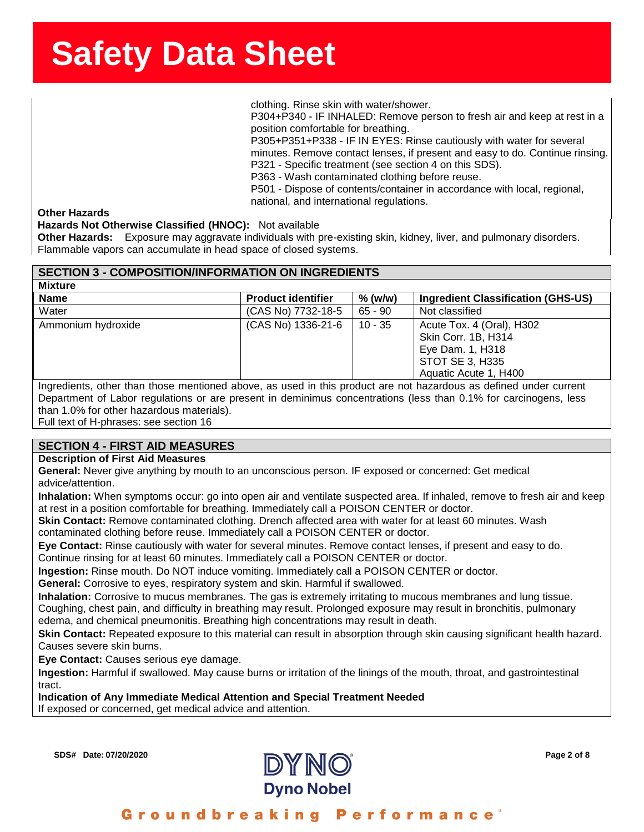**ssssSSherrSheetSSh** clothing. Rinse skin with water/shower.

P304+P340 - IF INHALED: Remove person to fresh air and keep at rest in a position comfortable for breathing.

P305+P351+P338 - IF IN EYES: Rinse cautiously with water for several minutes. Remove contact lenses, if present and easy to do. Continue rinsing. P321 - Specific treatment (see section 4 on this SDS). P363 - Wash contaminated clothing before reuse.

P501 - Dispose of contents/container in accordance with local, regional, national, and international regulations.

#### **Other Hazards**

#### **Hazards Not Otherwise Classified (HNOC):** Not available

**Other Hazards:** Exposure may aggravate individuals with pre-existing skin, kidney, liver, and pulmonary disorders. Flammable vapors can accumulate in head space of closed systems.

#### **SECTION 3 - COMPOSITION/INFORMATION ON INGREDIENTS**

| <b>Mixture</b>     |                           |           |                                                                                                                         |
|--------------------|---------------------------|-----------|-------------------------------------------------------------------------------------------------------------------------|
| <b>Name</b>        | <b>Product identifier</b> | $%$ (w/w) | Ingredient Classification (GHS-US)                                                                                      |
| Water              | (CAS No) 7732-18-5        | $65 - 90$ | Not classified                                                                                                          |
| Ammonium hydroxide | (CAS No) 1336-21-6        | $10 - 35$ | Acute Tox. 4 (Oral), H302<br>Skin Corr. 1B, H314<br>Eye Dam. 1, H318<br><b>STOT SE 3, H335</b><br>Aquatic Acute 1, H400 |

Ingredients, other than those mentioned above, as used in this product are not hazardous as defined under current Department of Labor regulations or are present in deminimus concentrations (less than 0.1% for carcinogens, less than 1.0% for other hazardous materials).

Full text of H-phrases: see section 16

#### **SECTION 4 - FIRST AID MEASURES**

#### **Description of First Aid Measures**

**General:** Never give anything by mouth to an unconscious person. IF exposed or concerned: Get medical advice/attention.

**Inhalation:** When symptoms occur: go into open air and ventilate suspected area. If inhaled, remove to fresh air and keep at rest in a position comfortable for breathing. Immediately call a POISON CENTER or doctor.

**Skin Contact:** Remove contaminated clothing. Drench affected area with water for at least 60 minutes. Wash contaminated clothing before reuse. Immediately call a POISON CENTER or doctor.

**Eye Contact:** Rinse cautiously with water for several minutes. Remove contact lenses, if present and easy to do. Continue rinsing for at least 60 minutes. Immediately call a POISON CENTER or doctor.

**Ingestion:** Rinse mouth. Do NOT induce vomiting. Immediately call a POISON CENTER or doctor.

**General:** Corrosive to eyes, respiratory system and skin. Harmful if swallowed.

**Inhalation:** Corrosive to mucus membranes. The gas is extremely irritating to mucous membranes and lung tissue. Coughing, chest pain, and difficulty in breathing may result. Prolonged exposure may result in bronchitis, pulmonary

edema, and chemical pneumonitis. Breathing high concentrations may result in death.

**Skin Contact:** Repeated exposure to this material can result in absorption through skin causing significant health hazard. Causes severe skin burns.

**Eye Contact:** Causes serious eye damage.

**Ingestion:** Harmful if swallowed. May cause burns or irritation of the linings of the mouth, throat, and gastrointestinal tract.

**Indication of Any Immediate Medical Attention and Special Treatment Needed** 

If exposed or concerned, get medical advice and attention.

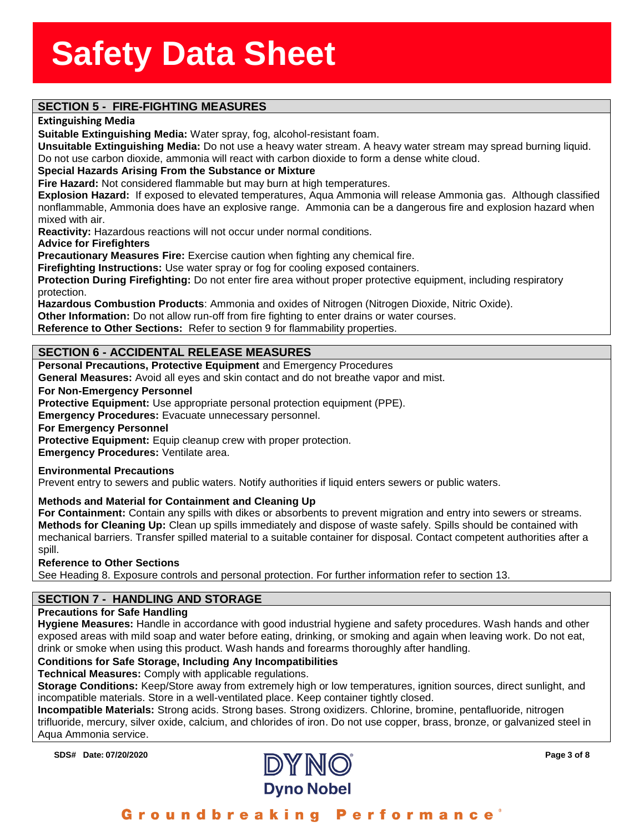### **SECTION 5 - FIRE-FIGHTING MEASURES**

#### **Extinguishing Media**

inguishing Media<br>itable Extinguishing Media<br>suitable Extinguishing Me **Suitable Extinguishing Media:** Water spray, fog, alcohol-resistant foam.

**Unsuitable Extinguishing Media:** Do not use a heavy water stream. A heavy water stream may spread burning liquid. Do not use carbon dioxide, ammonia will react with carbon dioxide to form a dense white cloud.

#### **Special Hazards Arising From the Substance or Mixture**

**Fire Hazard:** Not considered flammable but may burn at high temperatures.

**Explosion Hazard:** If exposed to elevated temperatures, Aqua Ammonia will release Ammonia gas. Although classified nonflammable, Ammonia does have an explosive range. Ammonia can be a dangerous fire and explosion hazard when mixed with air.

**Reactivity:** Hazardous reactions will not occur under normal conditions.

**Advice for Firefighters**

**Precautionary Measures Fire:** Exercise caution when fighting any chemical fire.

**Firefighting Instructions:** Use water spray or fog for cooling exposed containers.

**Protection During Firefighting:** Do not enter fire area without proper protective equipment, including respiratory protection.

**Hazardous Combustion Products**: Ammonia and oxides of Nitrogen (Nitrogen Dioxide, Nitric Oxide).

**Other Information:** Do not allow run-off from fire fighting to enter drains or water courses.

**Reference to Other Sections:** Refer to section 9 for flammability properties.

#### **SECTION 6 - ACCIDENTAL RELEASE MEASURES**

**Personal Precautions, Protective Equipment** and Emergency Procedures

**General Measures:** Avoid all eyes and skin contact and do not breathe vapor and mist.

#### **For Non-Emergency Personnel**

**Protective Equipment:** Use appropriate personal protection equipment (PPE).

**Emergency Procedures:** Evacuate unnecessary personnel.

**For Emergency Personnel**

**Protective Equipment:** Equip cleanup crew with proper protection.

**Emergency Procedures:** Ventilate area.

#### **Environmental Precautions**

Prevent entry to sewers and public waters. Notify authorities if liquid enters sewers or public waters.

#### **Methods and Material for Containment and Cleaning Up**

**For Containment:** Contain any spills with dikes or absorbents to prevent migration and entry into sewers or streams. **Methods for Cleaning Up:** Clean up spills immediately and dispose of waste safely. Spills should be contained with mechanical barriers. Transfer spilled material to a suitable container for disposal. Contact competent authorities after a spill.

#### **Reference to Other Sections**

See Heading 8. Exposure controls and personal protection. For further information refer to section 13.

#### **SECTION 7 - HANDLING AND STORAGE**

#### **Precautions for Safe Handling**

**Hygiene Measures:** Handle in accordance with good industrial hygiene and safety procedures. Wash hands and other exposed areas with mild soap and water before eating, drinking, or smoking and again when leaving work. Do not eat, drink or smoke when using this product. Wash hands and forearms thoroughly after handling.

#### **Conditions for Safe Storage, Including Any Incompatibilities**

**Technical Measures:** Comply with applicable regulations.

**Storage Conditions:** Keep/Store away from extremely high or low temperatures, ignition sources, direct sunlight, and incompatible materials. Store in a well-ventilated place. Keep container tightly closed.

**Incompatible Materials:** Strong acids. Strong bases. Strong oxidizers. Chlorine, bromine, pentafluoride, nitrogen trifluoride, mercury, silver oxide, calcium, and chlorides of iron. Do not use copper, brass, bronze, or galvanized steel in Aqua Ammonia service.

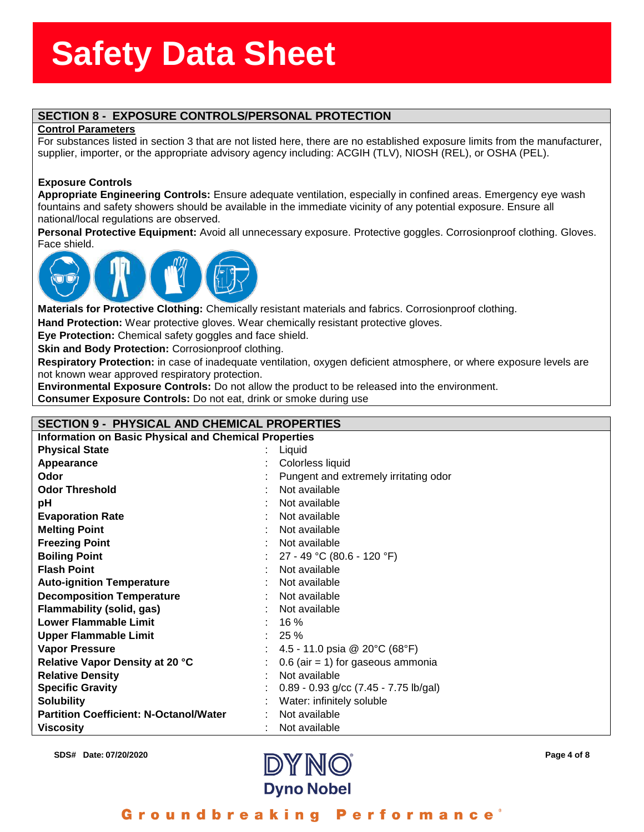### assess State State State State State State State State State State State State State State State State State S<br>State State State State State State State State State State State State State State State State State State St **SECTION 8 - EXPOSURE CONTROLS/PERSONAL PROTECTION**

#### **Control Parameters**

**SECTION 6 - EXPOSURE CONTROLS/PERSONAL PROTECTION**<br>Control Parameters<br>For substances listed in section 3 that are not listed here, there are no established exposure limits from the manufacturer, supplier, importer, or the appropriate advisory agency including: ACGIH (TLV), NIOSH (REL), or OSHA (PEL).

#### **Exposure Controls**

**Appropriate Engineering Controls:** Ensure adequate ventilation, especially in confined areas. Emergency eye wash fountains and safety showers should be available in the immediate vicinity of any potential exposure. Ensure all national/local regulations are observed.

**Personal Protective Equipment:** Avoid all unnecessary exposure. Protective goggles. Corrosionproof clothing. Gloves. Face shield.



**Materials for Protective Clothing:** Chemically resistant materials and fabrics. Corrosionproof clothing.

**Hand Protection:** Wear protective gloves. Wear chemically resistant protective gloves.

**Eye Protection:** Chemical safety goggles and face shield.

**Skin and Body Protection: Corrosionproof clothing.** 

**Respiratory Protection:** in case of inadequate ventilation, oxygen deficient atmosphere, or where exposure levels are not known wear approved respiratory protection.

**Environmental Exposure Controls:** Do not allow the product to be released into the environment.

**Consumer Exposure Controls:** Do not eat, drink or smoke during use

#### **SECTION 9 - PHYSICAL AND CHEMICAL PROPERTIES**

| <b>Information on Basic Physical and Chemical Properties</b> |  |                                                   |
|--------------------------------------------------------------|--|---------------------------------------------------|
| <b>Physical State</b>                                        |  | Liquid                                            |
| Appearance                                                   |  | Colorless liquid                                  |
| Odor                                                         |  | Pungent and extremely irritating odor             |
| <b>Odor Threshold</b>                                        |  | Not available                                     |
| pH                                                           |  | Not available                                     |
| <b>Evaporation Rate</b>                                      |  | Not available                                     |
| <b>Melting Point</b>                                         |  | Not available                                     |
| <b>Freezing Point</b>                                        |  | Not available                                     |
| <b>Boiling Point</b>                                         |  | 27 - 49 °C (80.6 - 120 °F)                        |
| <b>Flash Point</b>                                           |  | Not available                                     |
| <b>Auto-ignition Temperature</b>                             |  | Not available                                     |
| <b>Decomposition Temperature</b>                             |  | Not available                                     |
| Flammability (solid, gas)                                    |  | Not available                                     |
| <b>Lower Flammable Limit</b>                                 |  | 16%                                               |
| <b>Upper Flammable Limit</b>                                 |  | $: 25 \%$                                         |
| <b>Vapor Pressure</b>                                        |  | 4.5 - 11.0 psia @ 20 $\degree$ C (68 $\degree$ F) |
| Relative Vapor Density at 20 °C                              |  | $0.6$ (air = 1) for gaseous ammonia               |
| <b>Relative Density</b>                                      |  | Not available                                     |
| <b>Specific Gravity</b>                                      |  | $0.89 - 0.93$ g/cc (7.45 - 7.75 lb/gal)           |
| <b>Solubility</b>                                            |  | Water: infinitely soluble                         |
| <b>Partition Coefficient: N-Octanol/Water</b>                |  | Not available                                     |
| <b>Viscosity</b>                                             |  | Not available                                     |



### Groundbreaking Performance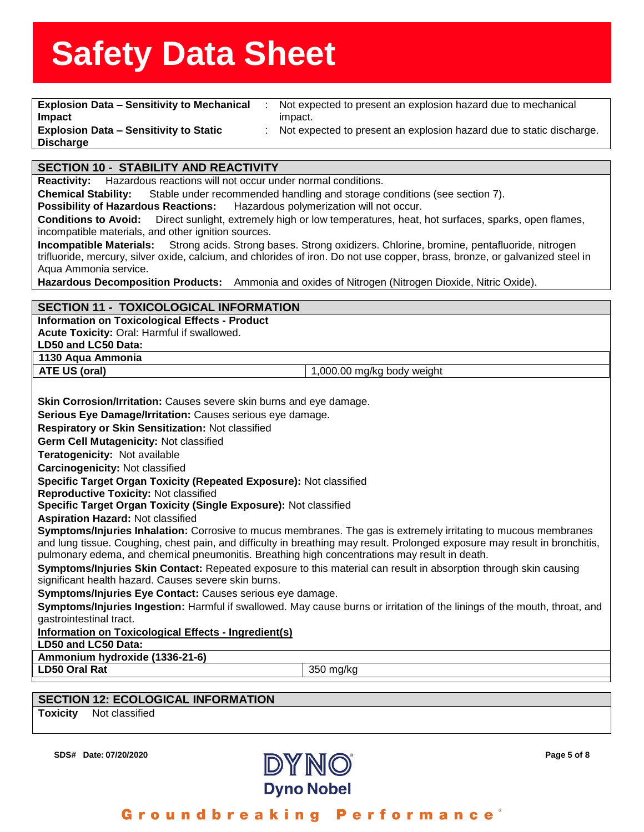| <b>Explosion Data - Sensitivity to Mechanical</b><br>Not expected to present an explosion hazard due to mechanical<br>$\mathcal{L}_{\mathcal{A}}$                                   |
|-------------------------------------------------------------------------------------------------------------------------------------------------------------------------------------|
| Impact<br>impact.                                                                                                                                                                   |
| <b>Explosion Data - Sensitivity to Static</b><br>Not expected to present an explosion hazard due to static discharge.                                                               |
| <b>Discharge</b>                                                                                                                                                                    |
| <b>SECTION 10 - STABILITY AND REACTIVITY</b>                                                                                                                                        |
| Hazardous reactions will not occur under normal conditions.<br><b>Reactivity:</b>                                                                                                   |
| Stable under recommended handling and storage conditions (see section 7).<br><b>Chemical Stability:</b>                                                                             |
| <b>Possibility of Hazardous Reactions:</b><br>Hazardous polymerization will not occur.                                                                                              |
| Direct sunlight, extremely high or low temperatures, heat, hot surfaces, sparks, open flames,<br><b>Conditions to Avoid:</b><br>incompatible materials, and other ignition sources. |
| Strong acids. Strong bases. Strong oxidizers. Chlorine, bromine, pentafluoride, nitrogen<br><b>Incompatible Materials:</b>                                                          |
| trifluoride, mercury, silver oxide, calcium, and chlorides of iron. Do not use copper, brass, bronze, or galvanized steel in<br>Aqua Ammonia service.                               |
| Hazardous Decomposition Products: Ammonia and oxides of Nitrogen (Nitrogen Dioxide, Nitric Oxide).                                                                                  |
|                                                                                                                                                                                     |
| <b>SECTION 11 - TOXICOLOGICAL INFORMATION</b>                                                                                                                                       |
| <b>Information on Toxicological Effects - Product</b>                                                                                                                               |
| Acute Toxicity: Oral: Harmful if swallowed.                                                                                                                                         |
| LD50 and LC50 Data:<br>1130 Aqua Ammonia                                                                                                                                            |
| ATE US (oral)<br>1,000.00 mg/kg body weight                                                                                                                                         |
|                                                                                                                                                                                     |
| Skin Corrosion/Irritation: Causes severe skin burns and eye damage.                                                                                                                 |
| Serious Eye Damage/Irritation: Causes serious eye damage.                                                                                                                           |
| Respiratory or Skin Sensitization: Not classified                                                                                                                                   |
| Germ Cell Mutagenicity: Not classified                                                                                                                                              |
| Teratogenicity: Not available                                                                                                                                                       |
| Carcinogenicity: Not classified                                                                                                                                                     |
| Specific Target Organ Toxicity (Repeated Exposure): Not classified                                                                                                                  |
| <b>Reproductive Toxicity: Not classified</b>                                                                                                                                        |
| Specific Target Organ Toxicity (Single Exposure): Not classified<br><b>Aspiration Hazard: Not classified</b>                                                                        |
| Symptoms/Injuries Inhalation: Corrosive to mucus membranes. The gas is extremely irritating to mucous membranes                                                                     |
| and lung tissue. Coughing, chest pain, and difficulty in breathing may result. Prolonged exposure may result in bronchitis,                                                         |
| pulmonary edema, and chemical pneumonitis. Breathing high concentrations may result in death.                                                                                       |
| Symptoms/Injuries Skin Contact: Repeated exposure to this material can result in absorption through skin causing<br>significant health hazard. Causes severe skin burns.            |
| Symptoms/Injuries Eye Contact: Causes serious eye damage.                                                                                                                           |
| Symptoms/Injuries Ingestion: Harmful if swallowed. May cause burns or irritation of the linings of the mouth, throat, and                                                           |
| gastrointestinal tract.                                                                                                                                                             |
| Information on Toxicological Effects - Ingredient(s)                                                                                                                                |
| LD50 and LC50 Data:<br>Ammonium hydroxide (1336-21-6)                                                                                                                               |
| <b>LD50 Oral Rat</b><br>350 mg/kg                                                                                                                                                   |
|                                                                                                                                                                                     |
| <b>SECTION 12: ECOLOGICAL INFORMATION</b>                                                                                                                                           |
| Not classified<br><b>Toxicity</b>                                                                                                                                                   |
|                                                                                                                                                                                     |

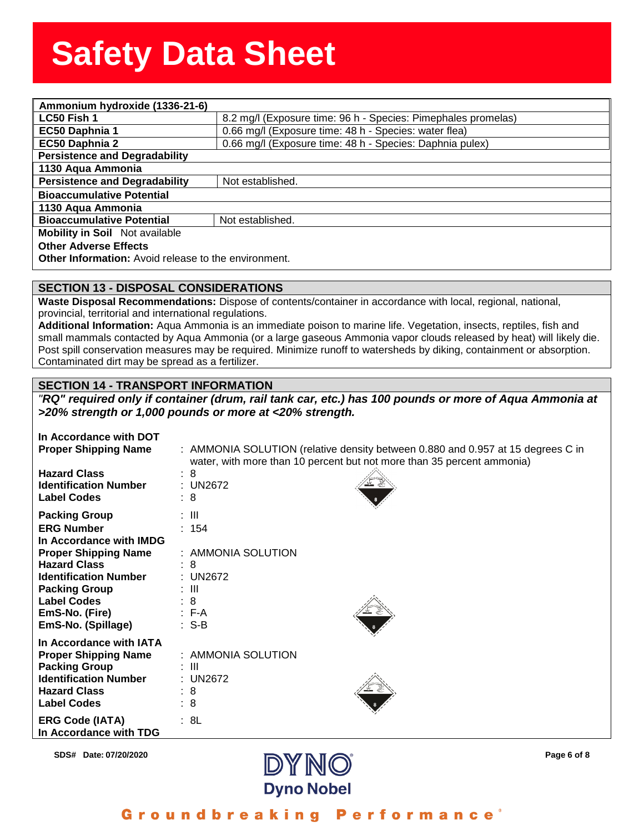| Ammonium hydroxide (1336-21-6)                       |                                                               |  |
|------------------------------------------------------|---------------------------------------------------------------|--|
| LC50 Fish 1                                          | 8.2 mg/l (Exposure time: 96 h - Species: Pimephales promelas) |  |
| EC50 Daphnia 1                                       | 0.66 mg/l (Exposure time: 48 h - Species: water flea)         |  |
| EC50 Daphnia 2                                       | 0.66 mg/l (Exposure time: 48 h - Species: Daphnia pulex)      |  |
| <b>Persistence and Degradability</b>                 |                                                               |  |
| 1130 Aqua Ammonia                                    |                                                               |  |
| <b>Persistence and Degradability</b>                 | Not established.                                              |  |
| <b>Bioaccumulative Potential</b>                     |                                                               |  |
| 1130 Aqua Ammonia                                    |                                                               |  |
| <b>Bioaccumulative Potential</b>                     | Not established.                                              |  |
| <b>Mobility in Soil</b> Not available                |                                                               |  |
| <b>Other Adverse Effects</b>                         |                                                               |  |
| Other Information: Avoid release to the environment. |                                                               |  |

#### **SECTION 13 - DISPOSAL CONSIDERATIONS**

**Waste Disposal Recommendations:** Dispose of contents/container in accordance with local, regional, national, provincial, territorial and international regulations.

**Additional Information:** Aqua Ammonia is an immediate poison to marine life. Vegetation, insects, reptiles, fish and small mammals contacted by Aqua Ammonia (or a large gaseous Ammonia vapor clouds released by heat) will likely die. Post spill conservation measures may be required. Minimize runoff to watersheds by diking, containment or absorption. Contaminated dirt may be spread as a fertilizer.

#### **SECTION 14 - TRANSPORT INFORMATION**

*"RQ" required only if container (drum, rail tank car, etc.) has 100 pounds or more of Aqua Ammonia at >20% strength or 1,000 pounds or more at <20% strength.*

| In Accordance with DOT<br><b>Proper Shipping Name</b>                                                                                                                                                                                            | : AMMONIA SOLUTION (relative density between 0.880 and 0.957 at 15 degrees C in<br>water, with more than 10 percent but not more than 35 percent ammonia) |
|--------------------------------------------------------------------------------------------------------------------------------------------------------------------------------------------------------------------------------------------------|-----------------------------------------------------------------------------------------------------------------------------------------------------------|
| <b>Hazard Class</b><br><b>Identification Number</b><br><b>Label Codes</b>                                                                                                                                                                        | : 8<br>: UN2672<br>: 8                                                                                                                                    |
| <b>Packing Group</b><br><b>ERG Number</b><br>In Accordance with IMDG<br><b>Proper Shipping Name</b><br><b>Hazard Class</b><br><b>Identification Number</b><br><b>Packing Group</b><br><b>Label Codes</b><br>EmS-No. (Fire)<br>EmS-No. (Spillage) | : III<br>: 154<br>: AMMONIA SOLUTION<br>: 8<br>: UN2672<br>: III<br>: 8<br>$\therefore$ F-A<br>$: S-B$                                                    |
| In Accordance with IATA<br><b>Proper Shipping Name</b><br><b>Packing Group</b><br><b>Identification Number</b><br><b>Hazard Class</b><br><b>Label Codes</b>                                                                                      | : AMMONIA SOLUTION<br>: III<br>: UN2672<br>: 8<br>: 8                                                                                                     |
| <b>ERG Code (IATA)</b><br>In Accordance with TDG                                                                                                                                                                                                 | : 8L                                                                                                                                                      |

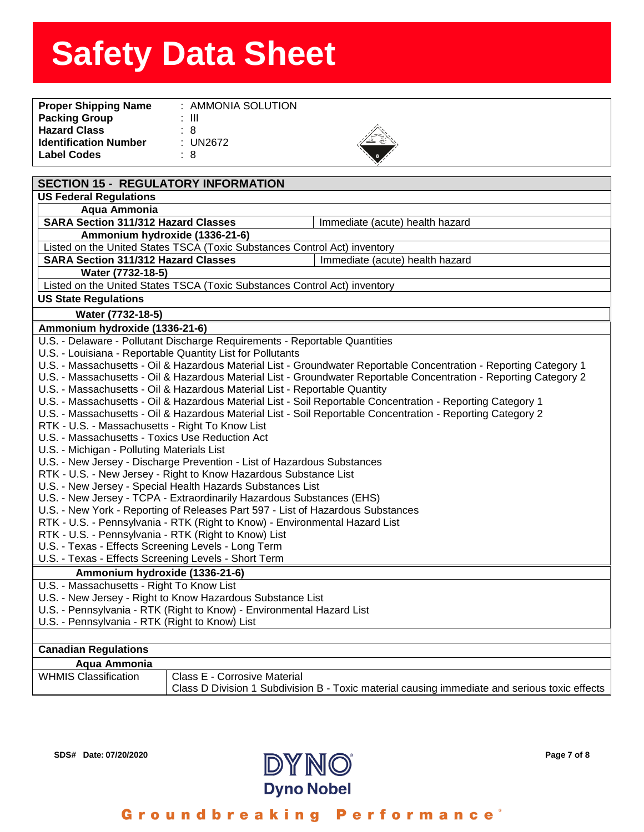| $:$ AMMONIA SOLUTION |  |
|----------------------|--|
| : III                |  |
| : 8                  |  |
| : $UN2672$           |  |
| : 8                  |  |
|                      |  |



| <b>SECTION 15 - REGULATORY INFORMATION</b>                                                                  |                                                                                                                    |  |
|-------------------------------------------------------------------------------------------------------------|--------------------------------------------------------------------------------------------------------------------|--|
| <b>US Federal Regulations</b>                                                                               |                                                                                                                    |  |
| Aqua Ammonia                                                                                                |                                                                                                                    |  |
| <b>SARA Section 311/312 Hazard Classes</b>                                                                  | Immediate (acute) health hazard                                                                                    |  |
| Ammonium hydroxide (1336-21-6)                                                                              |                                                                                                                    |  |
| Listed on the United States TSCA (Toxic Substances Control Act) inventory                                   |                                                                                                                    |  |
| <b>SARA Section 311/312 Hazard Classes</b>                                                                  | Immediate (acute) health hazard                                                                                    |  |
| Water (7732-18-5)                                                                                           |                                                                                                                    |  |
| Listed on the United States TSCA (Toxic Substances Control Act) inventory                                   |                                                                                                                    |  |
| <b>US State Regulations</b>                                                                                 |                                                                                                                    |  |
| Water (7732-18-5)                                                                                           |                                                                                                                    |  |
| Ammonium hydroxide (1336-21-6)                                                                              |                                                                                                                    |  |
| U.S. - Delaware - Pollutant Discharge Requirements - Reportable Quantities                                  |                                                                                                                    |  |
| U.S. - Louisiana - Reportable Quantity List for Pollutants                                                  |                                                                                                                    |  |
|                                                                                                             | U.S. - Massachusetts - Oil & Hazardous Material List - Groundwater Reportable Concentration - Reporting Category 1 |  |
|                                                                                                             | U.S. - Massachusetts - Oil & Hazardous Material List - Groundwater Reportable Concentration - Reporting Category 2 |  |
| U.S. - Massachusetts - Oil & Hazardous Material List - Reportable Quantity                                  |                                                                                                                    |  |
| U.S. - Massachusetts - Oil & Hazardous Material List - Soil Reportable Concentration - Reporting Category 1 |                                                                                                                    |  |
| U.S. - Massachusetts - Oil & Hazardous Material List - Soil Reportable Concentration - Reporting Category 2 |                                                                                                                    |  |
| RTK - U.S. - Massachusetts - Right To Know List                                                             |                                                                                                                    |  |
| U.S. - Massachusetts - Toxics Use Reduction Act                                                             |                                                                                                                    |  |
| U.S. - Michigan - Polluting Materials List                                                                  |                                                                                                                    |  |
| U.S. - New Jersey - Discharge Prevention - List of Hazardous Substances                                     |                                                                                                                    |  |
| RTK - U.S. - New Jersey - Right to Know Hazardous Substance List                                            |                                                                                                                    |  |
| U.S. - New Jersey - Special Health Hazards Substances List                                                  |                                                                                                                    |  |
| U.S. - New Jersey - TCPA - Extraordinarily Hazardous Substances (EHS)                                       |                                                                                                                    |  |
| U.S. - New York - Reporting of Releases Part 597 - List of Hazardous Substances                             |                                                                                                                    |  |
| RTK - U.S. - Pennsylvania - RTK (Right to Know) - Environmental Hazard List                                 |                                                                                                                    |  |
| RTK - U.S. - Pennsylvania - RTK (Right to Know) List                                                        |                                                                                                                    |  |
| U.S. - Texas - Effects Screening Levels - Long Term                                                         |                                                                                                                    |  |
| U.S. - Texas - Effects Screening Levels - Short Term                                                        |                                                                                                                    |  |
| Ammonium hydroxide (1336-21-6)                                                                              |                                                                                                                    |  |
| U.S. - Massachusetts - Right To Know List                                                                   |                                                                                                                    |  |
| U.S. - New Jersey - Right to Know Hazardous Substance List                                                  |                                                                                                                    |  |
| U.S. - Pennsylvania - RTK (Right to Know) - Environmental Hazard List                                       |                                                                                                                    |  |
| U.S. - Pennsylvania - RTK (Right to Know) List                                                              |                                                                                                                    |  |
|                                                                                                             |                                                                                                                    |  |
| <b>Canadian Regulations</b>                                                                                 |                                                                                                                    |  |
| Aqua Ammonia                                                                                                |                                                                                                                    |  |
| <b>WHMIS Classification</b><br>Class E - Corrosive Material                                                 |                                                                                                                    |  |
|                                                                                                             | Class D Division 1 Subdivision B - Toxic material causing immediate and serious toxic effects                      |  |
|                                                                                                             |                                                                                                                    |  |



#### Groundbreaking **Performance**®